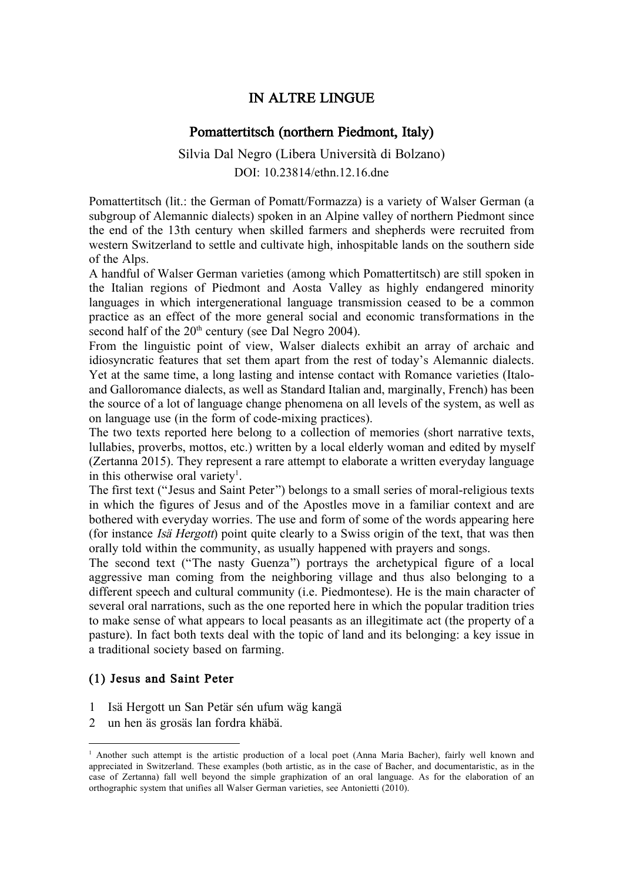# IN ALTRE LINGUE

# Pomattertitsch (northern Piedmont, Italy)

Silvia Dal Negro (Libera Università di Bolzano) DOI: [10.23814/ethn.12.16.dne](https://doi.org/10.23814/ethn.12.16.dne)

Pomattertitsch (lit.: the German of Pomatt/Formazza) is a variety of Walser German (a subgroup of Alemannic dialects) spoken in an Alpine valley of northern Piedmont since the end of the 13th century when skilled farmers and shepherds were recruited from western Switzerland to settle and cultivate high, inhospitable lands on the southern side of the Alps.

A handful of Walser German varieties (among which Pomattertitsch) are still spoken in the Italian regions of Piedmont and Aosta Valley as highly endangered minority languages in which intergenerational language transmission ceased to be a common practice as an effect of the more general social and economic transformations in the second half of the  $20<sup>th</sup>$  century (see Dal Negro 2004).

From the linguistic point of view, Walser dialects exhibit an array of archaic and idiosyncratic features that set them apart from the rest of today's Alemannic dialects. Yet at the same time, a long lasting and intense contact with Romance varieties (Italoand Galloromance dialects, as well as Standard Italian and, marginally, French) has been the source of a lot of language change phenomena on all levels of the system, as well as on language use (in the form of code-mixing practices).

The two texts reported here belong to a collection of memories (short narrative texts, lullabies, proverbs, mottos, etc.) written by a local elderly woman and edited by myself (Zertanna 2015). They represent a rare attempt to elaborate a written everyday language in this otherwise oral variety<sup>1</sup>.

The first text ("Jesus and Saint Peter") belongs to a small series of moral-religious texts in which the figures of Jesus and of the Apostles move in a familiar context and are bothered with everyday worries. The use and form of some of the words appearing here (for instance Isä Hergott) point quite clearly to a Swiss origin of the text, that was then orally told within the community, as usually happened with prayers and songs.

The second text ("The nasty Guenza") portrays the archetypical figure of a local aggressive man coming from the neighboring village and thus also belonging to a different speech and cultural community (i.e. Piedmontese). He is the main character of several oral narrations, such as the one reported here in which the popular tradition tries to make sense of what appears to local peasants as an illegitimate act (the property of a pasture). In fact both texts deal with the topic of land and its belonging: a key issue in a traditional society based on farming.

## (1) Jesus and Saint Peter

<u> 1989 - Johann Barn, mars ann an t-Amhain an t-Amhain an t-Amhain an t-Amhain an t-Amhain an t-Amhain an t-Amh</u>

- 1 Isä Hergott un San Petär sén ufum wäg kangä
- 2 un hen äs grosäs lan fordra khäbä.

<sup>&</sup>lt;sup>1</sup> Another such attempt is the artistic production of a local poet (Anna Maria Bacher), fairly well known and appreciated in Switzerland. These examples (both artistic, as in the case of Bacher, and documentaristic, as in the case of Zertanna) fall well beyond the simple graphization of an oral language. As for the elaboration of an orthographic system that unifies all Walser German varieties, see Antonietti (2010).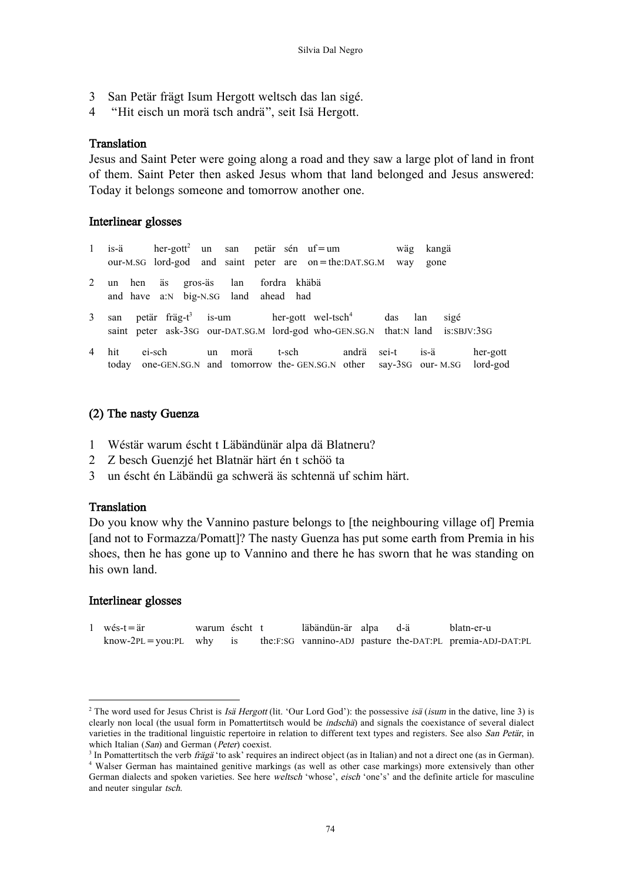- San Petär frägt Isum Hergott weltsch das lan sigé. 3
- $\boldsymbol{\Delta}$ "Hit eisch un morä tsch andrä", seit Isä Hergott.

#### **Translation**

Jesus and Saint Peter were going along a road and they saw a large plot of land in front of them. Saint Peter then asked Jesus whom that land belonged and Jesus answered: Today it belongs someone and tomorrow another one.

#### Interlinear glosses

- $\mathbf{1}$ is-ä  $her$ -gott<sup>2</sup> un san petär sén uf=um wäg kangä our-M.SG lord-god and saint peter are  $on =$  the: DAT.SG.M way gone
- $\mathfrak{D}$ fordra khäbä hen äs gros-äs 1<sub>an</sub>  $\mathbf{u}$ a:N big-N.SG land ahead had and have
- is-um  $\overline{\mathcal{E}}$ san petär fräg- $t^3$ her-gott wel-tsch<sup>4</sup>  $das$  $lan$ sigé saint peter ask-3SG our-DAT.SG.M lord-god who-GEN.SG.N that:N land is:SBJV:3SG
- $\overline{\mathbf{A}}$ hit ei-sch  $\overline{\mathbf{u}}$ morä  $t$ -sch andrä sei-t  $i s - \ddot{a}$ her-gott today one-GEN.SG.N and tomorrow the-GEN.SG.N other say-3sG our-M.SG lord-god

# (2) The nasty Guenza

- Wéstär warum éscht t Läbändünär alpa dä Blatneru?  $\mathbf{1}$
- $\overline{2}$ Z besch Guenzjé het Blatnär härt én t schöö ta
- $\overline{3}$ un éscht én Läbändü ga schwerä äs schtennä uf schim härt.

#### **Translation**

Do you know why the Vannino pasture belongs to [the neighbouring village of] Premia [and not to Formazza/Pomatt]? The nasty Guenza has put some earth from Premia in his shoes, then he has gone up to Vannino and there he has sworn that he was standing on his own land.

## Interlinear glosses

 $1$  wés-t = är warum éscht t läbändün-är alpa d-ä blatn-er-u  $know-2PL = you:PL$ why the:F:SG vannino-ADJ pasture the-DAT:PL premia-ADJ-DAT:PL is

<sup>&</sup>lt;sup>2</sup> The word used for Jesus Christ is *Isä Hergott* (lit. 'Our Lord God'): the possessive *isä* (*isum* in the dative, line 3) is clearly non local (the usual form in Pomattertitsch would be indschä) and signals the coexistance of several dialect varieties in the traditional linguistic repertoire in relation to different text types and registers. See also San Petär, in which Italian (San) and German (Peter) coexist.

<sup>&</sup>lt;sup>3</sup> In Pomattertitisch the verb *frägä* 'to ask' requires an indirect object (as in Italian) and not a direct one (as in German).

<sup>&</sup>lt;sup>4</sup> Walser German has maintained genitive markings (as well as other case markings) more extensively than other German dialects and spoken varieties. See here weltsch 'whose', eisch 'one's' and the definite article for masculine and neuter singular tsch.